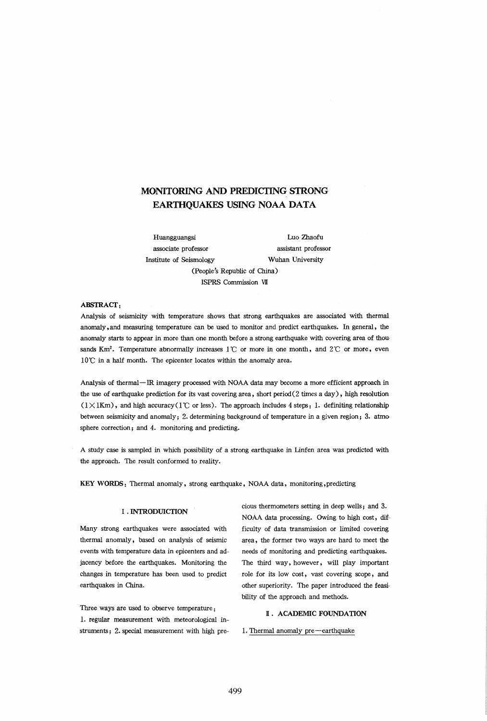# MONITORING AND PREDICTING STRONG EARTHQUAKES USING NOAA DATA

Huangguangsi Luo Zhaofu associate professor assistant professor Institute of Seismology Wuhan University (People's Republic of China)

# ABSTRACf:

Analysis of seismicity with temperature shows that strong earthquakes are associated with thermal anomaly, and measuring temperature can be used to monitor and predict earthquakes. In general, the anomaly starts to appear in more than one month before a strong earthquake with covering area of thou· sands Km<sup>2</sup>. Temperature abnormally increases  $1^{\circ}$  or more in one month, and  $2^{\circ}$  or more, even  $10^{\circ}$ C in a half month. The epicenter locates within the anomaly area.

ISPRS Commission VII

Analysis of thermal-IR imagery processed with NOAA data may become a more efficient approach in the use of earthquake prediction for its vast covering area, short period (2 times a day), high resolution  $(1 \times 1$ Km), and high accuracy ( $1$ °C or less). The approach includes 4 steps: 1. definiting relationship between seismicity and anomaly; 2. determining background of temperature in a given region; 3. atmosphere correction; and 4. monitoring and predicting.

A study case is sampled in which possibility of a strong earthquake in Linfen area was predicted with the approach. The result conformed to reality.

KEY WORDS: Thermal anomaly, strong earthquake, NOAA data, monitoring, predicting

#### I . INTRODUICTION

Many strong earthquakes were associated with thermal anomaly, based on analysis of seismic events with temperature data in epicenters and adjacency before the earthquakes. Monitoring the changes in temperature has been used to predict earthquakes in China.

Three ways are used to observe temperature: 1. regular measurement with meteorological instruments; 2. special measurement with high precious thermometers setting in deep wells; and 3. NOAA data processing. Owing to high cost, dif· ficulty of data transmission or limited covering area, the former two ways are hard to meet the needs of monitoring and predicting earthquakes. The third way, however, will play important role for its low cost, vast covering scope, and other superiority. The paper introduced the feasi· bility of the approach and methods.

## I. ACADEMIC FOUNDATION

#### 1. Thermal anomaly pre-earthquake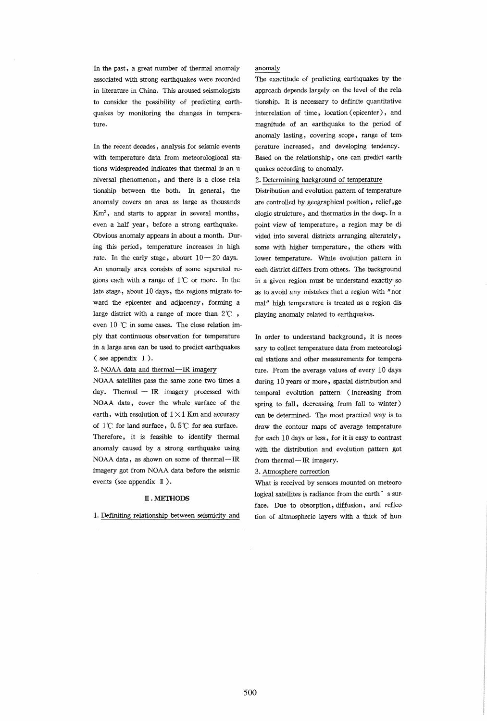In the past, a great number of thermal anomaly associated with strong earthquakes were recorded in literature in China. This aroused seismologists to consider the possibility of predicting earthquakes by monitoring the changes in temperature.

In the recent decades, analysis for seismic events with temperature data from meteorologiocal stations widespreaded indicates that thermal is an universal phenomenon, and there is a close relationship between the both. In general, the anomaly covers an area as large as thousands  $Km<sup>2</sup>$ , and starts to appear in several months, even a half year, before a strong earthquake. Obvious anomaly appears in about a month. During this period, temperature increases in high rate. In the early stage, abourt  $10-20$  days. An anomaly area consists of some seperated regions each with a range of  $1^{\circ}$  or more. In the late stage, about 10 days, the regions migrate toward the epicenter and adjacency, forming a large district with a range of more than  $2^{\circ}\mathbb{C}$  , even  $10$  °C in some cases. The close relation imply that continuous observation for temperature in a large area can be used to predict earthquakes ( see appendix I).

#### 2. NOAA data and thermal-IR imagery

NOAA satellites pass the same zone two times a day. Thermal  $-$  IR imagery processed with NOAA data, cover the whole surface of the earth, with resolution of  $1 \times 1$  Km and accuracy of  $1^{\circ}$  for land surface,  $0.5^{\circ}$  for sea surface. Therefore, it is feasible to identify thermal anomaly caused by a strong earthquake using NOAA data, as shown on some of thermal-IR imagery got from NOAA data before the seismic events (see appendix  $\mathbb{I}$ ).

#### M.METHODS

1. Definiting relationship between seismicity and

#### anomaly

The exactitude of predicting earthquakes by the approach depends largely on the level of the relationship. It is necessary to definite quantitative interrelation of time, location ( epicenter), and magnitude of an earthquake to the period of anomaly lasting, covering scope, range of temperature increased, and developing tendency. Based on the relationship, one can predict earthquakes according to anomaly.

## 2. Determining background of temperature

Distribution and evolution pattern of temperature are controlled by geographical position, relief, geologic struicture, and thermatics in the deep\_ In a point view of temperature, a region may be divided into several districts arranging alterately, some with higher temperature, the others with lower temperature. While evolution pattern in each district differs from others. The background in a given region must be understand exactly. so as to avoid any mistakes that a region with "normal" high temperature is treated as a region displaying anomaly related to earthquakes.

In order to understand background, it is necessary to collect temperature data from meteorological stations and other measurements for temperature. From the average values of every 10 days during 10 years or more, spacial distribution and temporal evolution pattern (increasing from spring to fall, decreasing from fall to winter) can be determined. The most practical way is to draw the contour maps of average temperature for each 10 days or less, for it is easy to contrast with the distribution and evolution pattern got from thermal-IR imagery.

#### 3. Atmosphere correction

What is received by sensors mounted on meteoro logical satellites is radiance from the earth  $\check{ }$  s surface. Due to obsorption, diffusion, and reflection of altmospheric layers with a thick of hun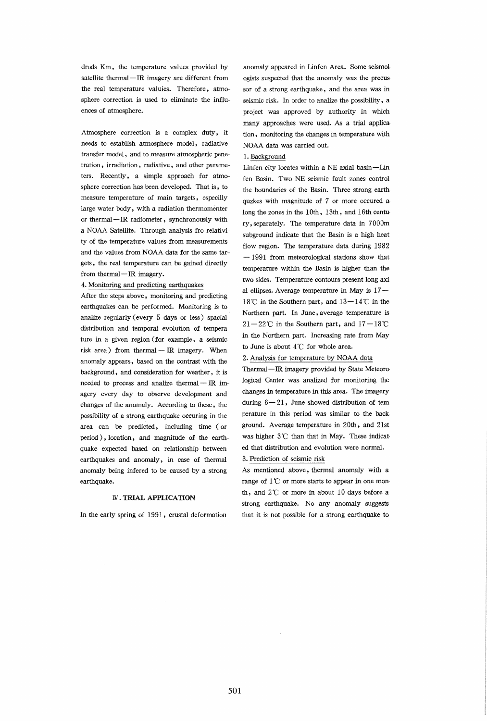drods Km, the temperature values provided by satellite thermal-IR imagery are different from the real temperature valuies. Therefore, atmosphere correction is used to eliminate the influences of atmosphere.

Atmosphere correction is a complex duty, it needs to establish atmosphere model, radiative transfer model, and to measure atmospheric penetration, irradiation, radiative, and other parameters. Recently, a simple approach for atmosphere correction has been developed. That is, to measure temperature of main targets, especilly large water body, with a radiation thermomenter or thermal-IR radiometer, synchronously with a NOAA Satellite. Through analysis fro relativity of the temperature values from measurements and the values from NOAA data for the same targets, the real temperature can be gained directly from thermal-IR imagery.

## 4. Monitoring and predicting earthquakes

After the steps above, monitoring and predicting earthquakes can be performed. Monitoring is to analize regularly (every 5 days or less) spacial distribution and temporal evolution of temperature in a given region (for example, a seismic risk area) from thermal  $-$  IR imagery. When anomaly appears, based on the contrast with the background, and consideration for weather, it is needed to process and analize thermal  $-$  IR imagery every day to observe development and changes of the anomaly. According to these, the possibility of a strong earthquake occuring in the area can be predicted, including time (or period), location, and magnitude of the earthquake expected based on relationship between earthquakes and anomaly, in case of thermal anomaly being infered to be caused by a strong earthquake.

## IV. TRIAL APPLICATION

In the early spring of 1991, crustal deformation

anomaly appeared in Linfen Area. Some seismologists suspected that the anomaly was the precussor of a strong earthquake, and the area was in seismic risk. In order to analize the possibility, a project was approved by authority in which many approaches were used. As a trial application, monitoring the changes in temperature with NOAA data was carried out.

#### 1. Background

Linfen city locates within a NE axial basin-Linfen Basin. Two NE seismic fault zones control the boundaries of the Basin. Three strong earthquzkes with magnitude of 7 or more occured along the zones in the 10th, 13th, and 16th century, separately. The temperature data in 7000m subground indicate that the Basin is a high heat flow region. The temperature data during 1982  $-1991$  from meteorological stations show that temperature within the Basin is higher than the two sides. Temperature contours present long axial ellipses. Average temperature in May is  $17-$ 18°C in the Southern part, and  $13-14$ °C in the Northern part. In June, average temperature is  $21-22^{\circ}$ C in the Southern part, and  $17-18^{\circ}$ C in the Northern part. Increasing rate from May to June is about  $4^{\circ}$ C for whole area.

#### 2. Analysis for temperature by NOAA data

Thermal - IR imagery provided by State Meteorological Center was analized for monitoring the changes in temperature in this area. The imagery during  $6 - 21$ , June showed distribution of temperature in this period was similar to the background. Average temperature in 20th, and 21st was higher  $3^{\circ}$  than that in May. These indicated that distribution and evolution were normal. 3. Prediction of seismic risk

As mentioned above, thermal anomaly with a range of  $1^\circ$ C or more starts to appear in one month, and  $2^{\circ}$  or more in about 10 days before a strong earthquake. No any anomaly suggests that it is not possible for a strong earthquake to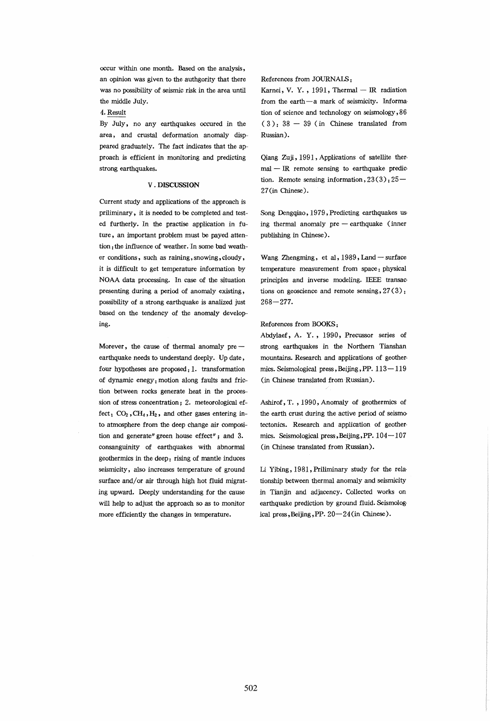occur within one month. Based on the analysis, an opinion was given to the authgority that there was no possibility of seismic risk in the area until the middle July.

4. Result

By July, no any earthquakes occured in the area, and crustal deformation anomaly disppeared graduately. The fact indicates that the approach is efficient in monitoring and predicting strong earthquakes.

## v . DISCUSSION

Current study and applications of the approach is priliminary, it is needed to be completed and tested furtherly. In the practise application in future, an important problem must be payed attention: the influence of weather. In some bad weather conditions, such as raining, snowing, cloudy, it is difficult to get temperature information by NOAA data processing. In case of the situation presenting during a period of anomaly existing, possibility of a strong earthquake is analized just based on the tendency of the anomaly developing.

Morever, the cause of thermal anomaly  $pre$ earthquake needs to understand deeply. Up date, four hypotheses are proposed: 1. transformation of dynamic enegy: motion along faults and friction between rocks generate heat in the procession of stress concentration; 2. meteorological effect:  $CO<sub>2</sub>$ ,  $CH<sub>4</sub>$ ,  $H<sub>2</sub>$ , and other gases entering into atmosphere from the deep change air composition and generate" green house effect"; and 3. consanguinity of earthquakes with abnormal geothermics in the deep: rising of mantle induces seismicity, also increases temperature of ground surface and/or air through high hot fluid migrating upward. Deeply understanding for the cause will help to adjust the approach so as to monitor more efficiently the changes in temperature.

# References from JOURNAIS :

Karnei, V. Y., 1991, Thermal  $-$  IR radiation from the earth-a mark of seismicity. Information of science and technology on seismology, 86  $(3)$ :  $38 - 39$  (in Chinese translated from Russian).

Qiang Zuji, 1991, Applications of satellite ther $mal - IR$  remote sensing to earthquake prediction. Remote sensing information,  $23(3)$ :  $25-$ 27 (in Chinese).

Song Dengqiao, 1979, Predicting earthquakes using thermal anomaly pre - earthquake (inner publishing in Chinese).

Wang Zhengming, et al, 1989, Land - surface temperature measurement from space: physical principles and inverse modeling. IEEE transactions on geoscience and remote sensing,  $27(3)$ ;  $268 - 277.$ 

#### Reforences from BOOKS:

Abdylaef, A. Y. , 1990, Precussor series of strong earthquakes in the Northern Tianshan mountains. Research and applications of geothermics. Seismological press, Beijing, PP. 113-119 (in Chinese translated from Russian).

Ashirof, T. , 1990, Anomaly of geothermics of the earth crust during the active period of seismo tectonics. Research and application of geothermics. Seismological press, Beijing, PP.  $104 - 107$ (in Chinese translated from Russian).

Li Yibing, 1981, Priliminary study for the relationship between thermal anomaly and seismicity in Tianjin and adjacency. Collected works on earthquake prediction by ground fluid. Seismological press, Beijing, PP. 20-24(in Chinese).